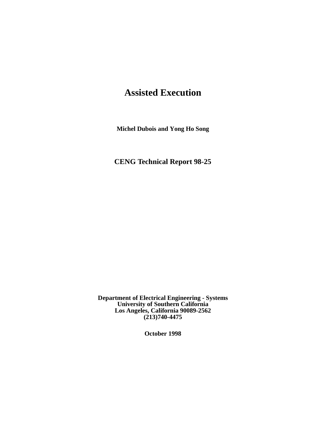# **Assisted Execution**

**Michel Dubois and Yong Ho Song**

**CENG Technical Report 98-25**

**Department of Electrical Engineering - Systems University of Southern California Los Angeles, California 90089-2562 (213)740-4475**

**October 1998**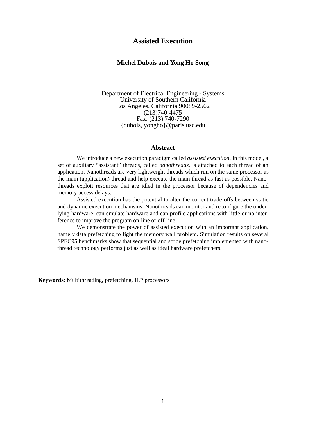# **Assisted Execution**

# **Michel Dubois and Yong Ho Song**

Department of Electrical Engineering - Systems University of Southern California Los Angeles, California 90089-2562 (213)740-4475 Fax: (213) 740-7290 {dubois, yongho}@paris.usc.edu

## **Abstract**

We introduce a new execution paradigm called *assisted execution*. In this model, a set of auxiliary "assistant" threads, called *nanothreads,* is attached to each thread of an application. Nanothreads are very lightweight threads which run on the same processor as the main (application) thread and help execute the main thread as fast as possible. Nanothreads exploit resources that are idled in the processor because of dependencies and memory access delays.

Assisted execution has the potential to alter the current trade-offs between static and dynamic execution mechanisms. Nanothreads can monitor and reconfigure the underlying hardware, can emulate hardware and can profile applications with little or no interference to improve the program on-line or off-line.

We demonstrate the power of assisted execution with an important application, namely data prefetching to fight the memory wall problem. Simulation results on several SPEC95 benchmarks show that sequential and stride prefetching implemented with nanothread technology performs just as well as ideal hardware prefetchers.

**Keywords**: Multithreading, prefetching, ILP processors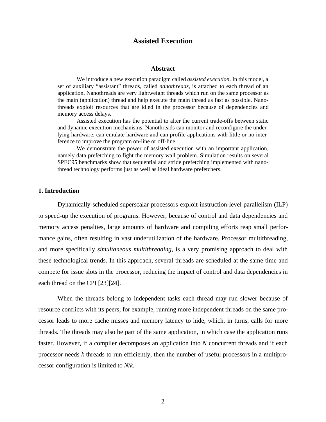# **Assisted Execution**

#### **Abstract**

We introduce a new execution paradigm called *assisted execution*. In this model, a set of auxiliary "assistant" threads, called *nanothreads,* is attached to each thread of an application. Nanothreads are very lightweight threads which run on the same processor as the main (application) thread and help execute the main thread as fast as possible. Nanothreads exploit resources that are idled in the processor because of dependencies and memory access delays.

Assisted execution has the potential to alter the current trade-offs between static and dynamic execution mechanisms. Nanothreads can monitor and reconfigure the underlying hardware, can emulate hardware and can profile applications with little or no interference to improve the program on-line or off-line.

We demonstrate the power of assisted execution with an important application, namely data prefetching to fight the memory wall problem. Simulation results on several SPEC95 benchmarks show that sequential and stride prefetching implemented with nanothread technology performs just as well as ideal hardware prefetchers.

# **1. Introduction**

Dynamically-scheduled superscalar processors exploit instruction-level parallelism (ILP) to speed-up the execution of programs. However, because of control and data dependencies and memory access penalties, large amounts of hardware and compiling efforts reap small performance gains, often resulting in vast underutilization of the hardware. Processor multithreading, and more specifically *simultaneous multithreading*, is a very promising approach to deal with these technological trends. In this approach, several threads are scheduled at the same time and compete for issue slots in the processor, reducing the impact of control and data dependencies in each thread on the CPI [23][24].

When the threads belong to independent tasks each thread may run slower because of resource conflicts with its peers; for example, running more independent threads on the same processor leads to more cache misses and memory latency to hide, which, in turns, calls for more threads. The threads may also be part of the same application, in which case the application runs faster. However, if a compiler decomposes an application into *N* concurrent threads and if each processor needs *k* threads to run efficiently, then the number of useful processors in a multiprocessor configuration is limited to *N*/*k*.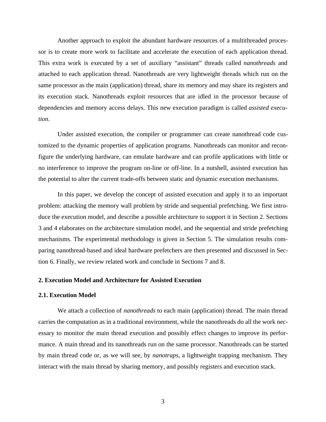Another approach to exploit the abundant hardware resources of a multithreaded processor is to create more work to facilitate and accelerate the execution of each application thread. This extra work is executed by a set of auxiliary "assistant" threads called *nanothreads* and attached to each application thread. Nanothreads are very lightweight threads which run on the same processor as the main (application) thread, share its memory and may share its registers and its execution stack. Nanothreads exploit resources that are idled in the processor because of dependencies and memory access delays. This new execution paradigm is called *assisted execution*.

Under assisted execution, the compiler or programmer can create nanothread code customized to the dynamic properties of application programs. Nanothreads can monitor and reconfigure the underlying hardware, can emulate hardware and can profile applications with little or no interference to improve the program on-line or off-line. In a nutshell, assisted execution has the potential to alter the current trade-offs between static and dynamic execution mechanisms.

In this paper, we develop the concept of assisted execution and apply it to an important problem: attacking the memory wall problem by stride and sequential prefetching. We first introduce the execution model, and describe a possible architecture to support it in Section 2. Sections 3 and 4 elaborates on the architecture simulation model, and the sequential and stride prefetching mechanisms. The experimental methodology is given in Section 5. The simulation results comparing nanothread-based and ideal hardware prefetchers are then presented and discussed in Section 6. Finally, we review related work and conclude in Sections 7 and 8.

# **2. Execution Model and Architecture for Assisted Execution**

#### **2.1. Execution Model**

We attach a collection of *nanothreads* to each main (application) thread. The main thread carries the computation as in a traditional environment, while the nanothreads do all the work necessary to monitor the main thread execution and possibly effect changes to improve its performance. A main thread and its nanothreads run on the same processor. Nanothreads can be started by main thread code or, as we will see, by *nanotraps*, a lightweight trapping mechanism. They interact with the main thread by sharing memory, and possibly registers and execution stack.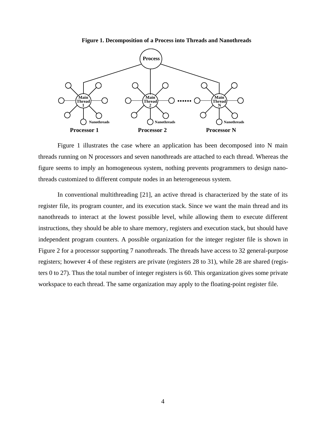#### **Figure 1. Decomposition of a Process into Threads and Nanothreads**



Figure 1 illustrates the case where an application has been decomposed into N main threads running on N processors and seven nanothreads are attached to each thread. Whereas the figure seems to imply an homogeneous system, nothing prevents programmers to design nanothreads customized to different compute nodes in an heterogeneous system.

In conventional multithreading [21], an active thread is characterized by the state of its register file, its program counter, and its execution stack. Since we want the main thread and its nanothreads to interact at the lowest possible level, while allowing them to execute different instructions, they should be able to share memory, registers and execution stack, but should have independent program counters. A possible organization for the integer register file is shown in Figure 2 for a processor supporting 7 nanothreads. The threads have access to 32 general-purpose registers; however 4 of these registers are private (registers 28 to 31), while 28 are shared (registers 0 to 27). Thus the total number of integer registers is 60. This organization gives some private workspace to each thread. The same organization may apply to the floating-point register file.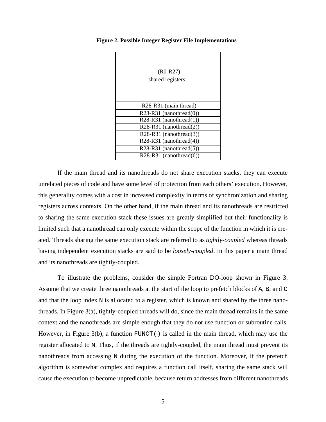| $(R0-R27)$<br>shared registers                 |
|------------------------------------------------|
| R <sub>28</sub> -R <sub>31</sub> (main thread) |
| $R28-R31$ (nanothread(0))                      |
| $R28-R31$ (nanothread(1))                      |
| $R28-R31$ (nanothread(2))                      |
| R28-R31 (nanothread(3))                        |
| $R28-R31$ (nanothread(4))                      |
| $R28-R31$ (nanothread(5))                      |
| $R28-R31$ (nanothread(6))                      |

**Figure 2. Possible Integer Register File Implementations**

If the main thread and its nanothreads do not share execution stacks, they can execute unrelated pieces of code and have some level of protection from each others' execution. However, this generality comes with a cost in increased complexity in terms of synchronization and sharing registers across contexts. On the other hand, if the main thread and its nanothreads are restricted to sharing the same execution stack these issues are greatly simplified but their functionality is limited such that a nanothread can only execute within the scope of the function in which it is created. Threads sharing the same execution stack are referred to as *tightly-coupled* whereas threads having independent execution stacks are said to be *loosely-coupled*. In this paper a main thread and its nanothreads are tightly-coupled.

To illustrate the problems, consider the simple Fortran DO-loop shown in Figure 3. Assume that we create three nanothreads at the start of the loop to prefetch blocks of A, B, and C and that the loop index N is allocated to a register, which is known and shared by the three nanothreads. In Figure 3(a), tightly-coupled threads will do, since the main thread remains in the same context and the nanothreads are simple enough that they do not use function or subroutine calls. However, in Figure 3(b), a function FUNCT() is called in the main thread, which may use the register allocated to N. Thus, if the threads are tightly-coupled, the main thread must prevent its nanothreads from accessing N during the execution of the function. Moreover, if the prefetch algorithm is somewhat complex and requires a function call itself, sharing the same stack will cause the execution to become unpredictable, because return addresses from different nanothreads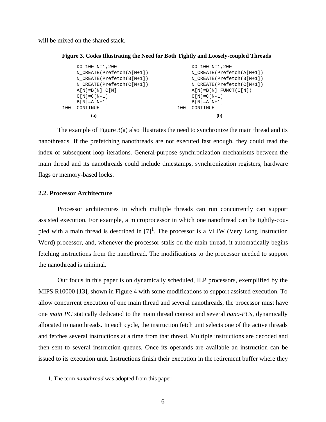will be mixed on the shared stack.

```
Figure 3. Codes Illustrating the Need for Both Tightly and Loosely-coupled Threads
```

|     | (a)                               |     | (b)                               |
|-----|-----------------------------------|-----|-----------------------------------|
| 100 | CONTINUE                          | 100 | CONTINUE                          |
|     | $B[N]=A[N+1]$                     |     | $B[N]=A[N+1]$                     |
|     | $C[N] = C[N-1]$                   |     | $C[N] = C[N-1]$                   |
|     | $A[N] = B[N] + C[N]$              |     | $A[N] = B[N] + FUNCT(C[N])$       |
|     | $N$ CREATE (Prefetch ( $C[N+1]$ ) |     | N CREATE(Prefetch(C[N+1])         |
|     | $N$ CREATE (Prefetch (B[N+1])     |     | $N$ CREATE (Prefetch (B[N+1])     |
|     | $N$ CREATE (Prefetch $(A[N+1])$ ) |     | $N$ CREATE (Prefetch $(A[N+1])$ ) |
|     | DO 100 N=1,200                    |     | DO 100 N=1,200                    |
|     |                                   |     |                                   |

The example of Figure 3(a) also illustrates the need to synchronize the main thread and its nanothreads. If the prefetching nanothreads are not executed fast enough, they could read the index of subsequent loop iterations. General-purpose synchronization mechanisms between the main thread and its nanothreads could include timestamps, synchronization registers, hardware flags or memory-based locks.

# **2.2. Processor Architecture**

Processor architectures in which multiple threads can run concurrently can support assisted execution. For example, a microprocessor in which one nanothread can be tightly-coupled with a main thread is described in  $[7]^1$ . The processor is a VLIW (Very Long Instruction Word) processor, and, whenever the processor stalls on the main thread, it automatically begins fetching instructions from the nanothread. The modifications to the processor needed to support the nanothread is minimal.

Our focus in this paper is on dynamically scheduled, ILP processors, exemplified by the MIPS R10000 [13], shown in Figure 4 with some modifications to support assisted execution. To allow concurrent execution of one main thread and several nanothreads, the processor must have one *main PC* statically dedicated to the main thread context and several *nano-PCs*, dynamically allocated to nanothreads. In each cycle, the instruction fetch unit selects one of the active threads and fetches several instructions at a time from that thread. Multiple instructions are decoded and then sent to several instruction queues. Once its operands are available an instruction can be issued to its execution unit. Instructions finish their execution in the retirement buffer where they

<sup>1.</sup> The term *nanothread* was adopted from this paper.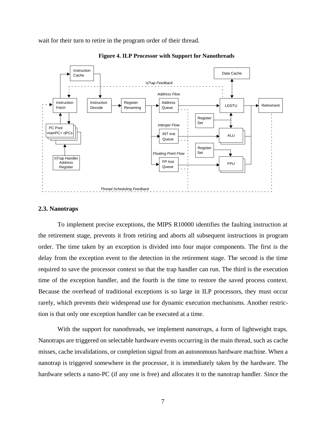wait for their turn to retire in the program order of their thread.



**Figure 4. ILP Processor with Support for Nanothreads**

#### **2.3. Nanotraps**

To implement precise exceptions, the MIPS R10000 identifies the faulting instruction at the retirement stage, prevents it from retiring and aborts all subsequent instructions in program order. The time taken by an exception is divided into four major components. The first is the delay from the exception event to the detection in the retirement stage. The second is the time required to save the processor context so that the trap handler can run. The third is the execution time of the exception handler, and the fourth is the time to restore the saved process context. Because the overhead of traditional exceptions is so large in ILP processors, they must occur rarely, which prevents their widespread use for dynamic execution mechanisms. Another restriction is that only one exception handler can be executed at a time.

With the support for nanothreads, we implement *nanotraps,* a form of lightweight traps. Nanotraps are triggered on selectable hardware events occurring in the main thread, such as cache misses, cache invalidations, or completion signal from an autonomous hardware machine. When a nanotrap is triggered somewhere in the processor, it is immediately taken by the hardware. The hardware selects a nano-PC (if any one is free) and allocates it to the nanotrap handler. Since the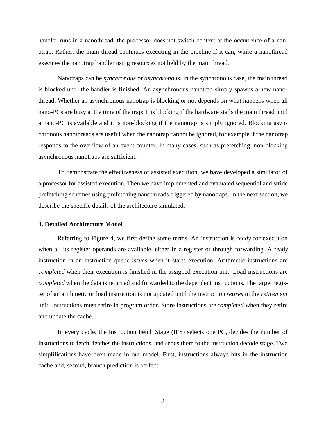handler runs in a nanothread, the processor does not switch context at the occurrence of a nanotrap. Rather, the main thread continues executing in the pipeline if it can, while a nanothread executes the nanotrap handler using resources not held by the main thread.

Nanotraps can be *synchronous* or *asynchronous*. In the synchronous case, the main thread is blocked until the handler is finished. An asynchronous nanotrap simply spawns a new nanothread. Whether an asynchronous nanotrap is blocking or not depends on what happens when all nano-PCs are busy at the time of the trap: It is blocking if the hardware stalls the main thread until a nano-PC is available and it is non-blocking if the nanotrap is simply ignored. Blocking asynchronous nanothreads are useful when the nanotrap cannot be ignored, for example if the nanotrap responds to the overflow of an event counter. In many cases, such as prefetching, non-blocking asynchronous nanotraps are sufficient.

To demonstrate the effectiveness of assisted execution, we have developed a simulator of a processor for assisted execution. Then we have implemented and evaluated sequential and stride prefetching schemes using prefetching nanothreads triggered by nanotraps. In the next section, we describe the specific details of the architecture simulated.

## **3. Detailed Architecture Model**

Referring to Figure 4, we first define some terms. An instruction is *ready* for execution when all its register operands are available, either in a register or through forwarding. A ready instruction in an instruction queue *issues* when it starts execution. Arithmetic instructions are *completed* when their execution is finished in the assigned execution unit. Load instructions are *completed* when the data is returned and forwarded to the dependent instructions. The target register of an arithmetic or load instruction is not updated until the instruction *retires* in the *retirement* unit. Instructions must retire in program order. Store instructions are *completed* when they retire and update the cache.

In every cycle, the Instruction Fetch Stage (IFS) selects one PC, decides the number of instructions to fetch, fetches the instructions, and sends them to the instruction decode stage. Two simplifications have been made in our model. First, instructions always hits in the instruction cache and, second, branch prediction is perfect.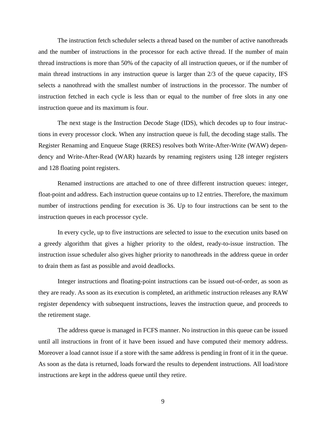The instruction fetch scheduler selects a thread based on the number of active nanothreads and the number of instructions in the processor for each active thread. If the number of main thread instructions is more than 50% of the capacity of all instruction queues, or if the number of main thread instructions in any instruction queue is larger than 2/3 of the queue capacity, IFS selects a nanothread with the smallest number of instructions in the processor. The number of instruction fetched in each cycle is less than or equal to the number of free slots in any one instruction queue and its maximum is four.

The next stage is the Instruction Decode Stage (IDS), which decodes up to four instructions in every processor clock. When any instruction queue is full, the decoding stage stalls. The Register Renaming and Enqueue Stage (RRES) resolves both Write-After-Write (WAW) dependency and Write-After-Read (WAR) hazards by renaming registers using 128 integer registers and 128 floating point registers.

Renamed instructions are attached to one of three different instruction queues: integer, float-point and address. Each instruction queue contains up to 12 entries. Therefore, the maximum number of instructions pending for execution is 36. Up to four instructions can be sent to the instruction queues in each processor cycle.

In every cycle, up to five instructions are selected to issue to the execution units based on a greedy algorithm that gives a higher priority to the oldest, ready-to-issue instruction. The instruction issue scheduler also gives higher priority to nanothreads in the address queue in order to drain them as fast as possible and avoid deadlocks.

Integer instructions and floating-point instructions can be issued out-of-order, as soon as they are ready. As soon as its execution is completed, an arithmetic instruction releases any RAW register dependency with subsequent instructions, leaves the instruction queue, and proceeds to the retirement stage.

The address queue is managed in FCFS manner. No instruction in this queue can be issued until all instructions in front of it have been issued and have computed their memory address. Moreover a load cannot issue if a store with the same address is pending in front of it in the queue. As soon as the data is returned, loads forward the results to dependent instructions. All load/store instructions are kept in the address queue until they retire.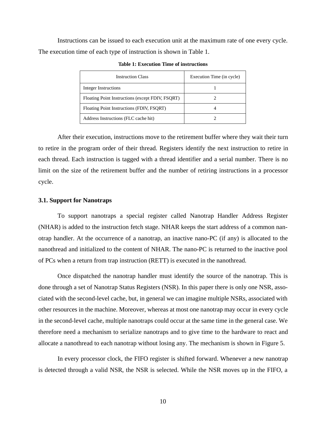Instructions can be issued to each execution unit at the maximum rate of one every cycle. The execution time of each type of instruction is shown in Table 1.

| <b>Instruction Class</b>                         | Execution Time (in cycle) |
|--------------------------------------------------|---------------------------|
| Integer Instructions                             |                           |
| Floating Point Instructions (except FDIV, FSQRT) |                           |
| Floating Point Instructions (FDIV, FSQRT)        |                           |
| Address Instructions (FLC cache hit)             |                           |

**Table 1: Execution Time of instructions**

After their execution, instructions move to the retirement buffer where they wait their turn to retire in the program order of their thread. Registers identify the next instruction to retire in each thread. Each instruction is tagged with a thread identifier and a serial number. There is no limit on the size of the retirement buffer and the number of retiring instructions in a processor cycle.

# **3.1. Support for Nanotraps**

To support nanotraps a special register called Nanotrap Handler Address Register (NHAR) is added to the instruction fetch stage. NHAR keeps the start address of a common nanotrap handler. At the occurrence of a nanotrap, an inactive nano-PC (if any) is allocated to the nanothread and initialized to the content of NHAR. The nano-PC is returned to the inactive pool of PCs when a return from trap instruction (RETT) is executed in the nanothread.

Once dispatched the nanotrap handler must identify the source of the nanotrap. This is done through a set of Nanotrap Status Registers (NSR). In this paper there is only one NSR, associated with the second-level cache, but, in general we can imagine multiple NSRs, associated with other resources in the machine. Moreover, whereas at most one nanotrap may occur in every cycle in the second-level cache, multiple nanotraps could occur at the same time in the general case. We therefore need a mechanism to serialize nanotraps and to give time to the hardware to react and allocate a nanothread to each nanotrap without losing any. The mechanism is shown in Figure 5.

In every processor clock, the FIFO register is shifted forward. Whenever a new nanotrap is detected through a valid NSR, the NSR is selected. While the NSR moves up in the FIFO, a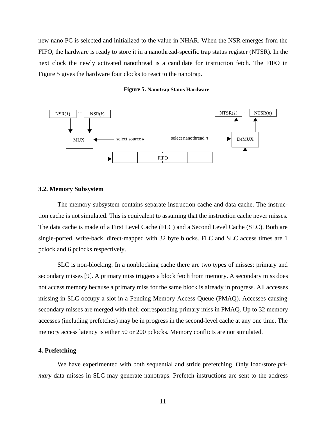new nano PC is selected and initialized to the value in NHAR. When the NSR emerges from the FIFO, the hardware is ready to store it in a nanothread-specific trap status register (NTSR). In the next clock the newly activated nanothread is a candidate for instruction fetch. The FIFO in Figure 5 gives the hardware four clocks to react to the nanotrap.





#### **3.2. Memory Subsystem**

The memory subsystem contains separate instruction cache and data cache. The instruction cache is not simulated. This is equivalent to assuming that the instruction cache never misses. The data cache is made of a First Level Cache (FLC) and a Second Level Cache (SLC). Both are single-ported, write-back, direct-mapped with 32 byte blocks. FLC and SLC access times are 1 pclock and 6 pclocks respectively.

SLC is non-blocking. In a nonblocking cache there are two types of misses: primary and secondary misses [9]. A primary miss triggers a block fetch from memory. A secondary miss does not access memory because a primary miss for the same block is already in progress. All accesses missing in SLC occupy a slot in a Pending Memory Access Queue (PMAQ). Accesses causing secondary misses are merged with their corresponding primary miss in PMAQ. Up to 32 memory accesses (including prefetches) may be in progress in the second-level cache at any one time. The memory access latency is either 50 or 200 pclocks. Memory conflicts are not simulated.

# **4. Prefetching**

We have experimented with both sequential and stride prefetching. Only load/store *primary* data misses in SLC may generate nanotraps. Prefetch instructions are sent to the address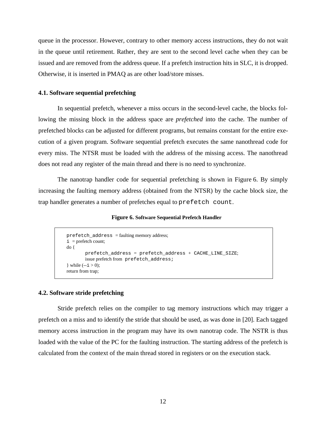queue in the processor. However, contrary to other memory access instructions, they do not wait in the queue until retirement. Rather, they are sent to the second level cache when they can be issued and are removed from the address queue. If a prefetch instruction hits in SLC, it is dropped. Otherwise, it is inserted in PMAQ as are other load/store misses.

# **4.1. Software sequential prefetching**

In sequential prefetch, whenever a miss occurs in the second-level cache, the blocks following the missing block in the address space are *prefetched* into the cache. The number of prefetched blocks can be adjusted for different programs, but remains constant for the entire execution of a given program. Software sequential prefetch executes the same nanothread code for every miss. The NTSR must be loaded with the address of the missing access. The nanothread does not read any register of the main thread and there is no need to synchronize.

The nanotrap handler code for sequential prefetching is shown in Figure 6. By simply increasing the faulting memory address (obtained from the NTSR) by the cache block size, the trap handler generates a number of prefetches equal to prefetch count.

#### **Figure 6. Software Sequential Prefetch Handler**

```
prefetch_address = faulting memory address;
do {
       prefetch_address = prefetch_address + CACHE_LINE_SIZE;
       issue prefetch from prefetch_address;
} while (-i > 0);
return from trap;
i = prefetch count;
```
# **4.2. Software stride prefetching**

Stride prefetch relies on the compiler to tag memory instructions which may trigger a prefetch on a miss and to identify the stride that should be used, as was done in [20]. Each tagged memory access instruction in the program may have its own nanotrap code. The NSTR is thus loaded with the value of the PC for the faulting instruction. The starting address of the prefetch is calculated from the context of the main thread stored in registers or on the execution stack.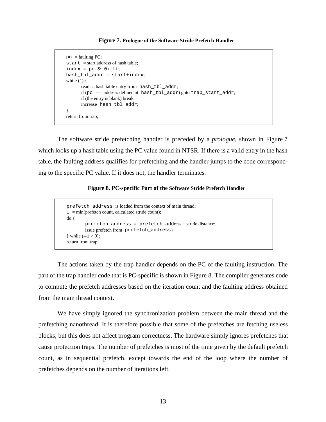#### **Figure 7. Prologue of the Software Stride Prefetch Handler**

```
pc = faulting PC;
start = start address of hash table;
index = pc & 0xfff;hash_tbl_addr = start+index;
while (1) {
      reads a hash table entry from hash_tbl_addr;
      if (pc = address defined at hash_tbl_addr) goto trap_start_addr;
      if (the entry is blank) break;
      increase hash tbl addr;
}
return from trap;
```
The software stride prefetching handler is preceded by a *prologue*, shown in Figure 7 which looks up a hash table using the PC value found in NTSR. If there is a valid entry in the hash table, the faulting address qualifies for prefetching and the handler jumps to the code corresponding to the specific PC value. If it does not, the handler terminates.

# **Figure 8. PC-specific Part of the Software Stride Prefetch Handler**

```
prefetch_address is loaded from the context of main thread;
do {
       prefetch address = prefetch address;
       issue prefetch from prefetch address;
} while (-i > 0);
return from trap;
i = min(prefetch count, calculated stride count);
```
The actions taken by the trap handler depends on the PC of the faulting instruction. The part of the trap handler code that is PC-specific is shown in Figure 8. The compiler generates code to compute the prefetch addresses based on the iteration count and the faulting address obtained from the main thread context.

We have simply ignored the synchronization problem between the main thread and the prefetching nanothread. It is therefore possible that some of the prefetches are fetching useless blocks, but this does not affect program correctness. The hardware simply ignores prefetches that cause protection traps. The number of prefetches is most of the time given by the default prefetch count, as in sequential prefetch, except towards the end of the loop where the number of prefetches depends on the number of iterations left.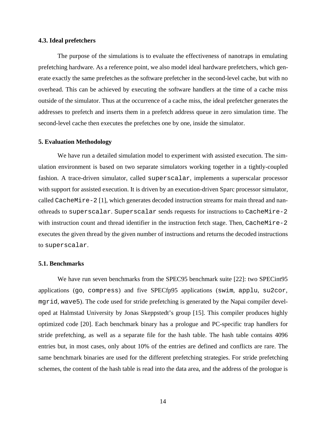# **4.3. Ideal prefetchers**

The purpose of the simulations is to evaluate the effectiveness of nanotraps in emulating prefetching hardware. As a reference point, we also model ideal hardware prefetchers, which generate exactly the same prefetches as the software prefetcher in the second-level cache, but with no overhead. This can be achieved by executing the software handlers at the time of a cache miss outside of the simulator. Thus at the occurrence of a cache miss, the ideal prefetcher generates the addresses to prefetch and inserts them in a prefetch address queue in zero simulation time. The second-level cache then executes the prefetches one by one, inside the simulator.

# **5. Evaluation Methodology**

We have run a detailed simulation model to experiment with assisted execution. The simulation environment is based on two separate simulators working together in a tightly-coupled fashion. A trace-driven simulator, called superscalar, implements a superscalar processor with support for assisted execution. It is driven by an execution-driven Sparc processor simulator, called CacheMire-2 [1], which generates decoded instruction streams for main thread and nanothreads to superscalar. Superscalar sends requests for instructions to CacheMire-2 with instruction count and thread identifier in the instruction fetch stage. Then, CacheMire-2 executes the given thread by the given number of instructions and returns the decoded instructions to superscalar.

# **5.1. Benchmarks**

We have run seven benchmarks from the SPEC95 benchmark suite [22]: two SPECint95 applications (go, compress) and five SPECfp95 applications (swim, applu, su2cor, mgrid, wave5). The code used for stride prefetching is generated by the Napai compiler developed at Halmstad University by Jonas Skeppstedt's group [15]. This compiler produces highly optimized code [20]. Each benchmark binary has a prologue and PC-specific trap handlers for stride prefetching, as well as a separate file for the hash table. The hash table contains 4096 entries but, in most cases, only about 10% of the entries are defined and conflicts are rare. The same benchmark binaries are used for the different prefetching strategies. For stride prefetching schemes, the content of the hash table is read into the data area, and the address of the prologue is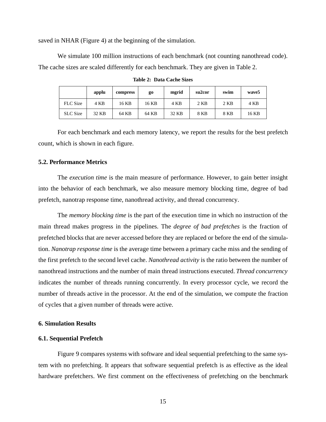saved in NHAR (Figure 4) at the beginning of the simulation.

We simulate 100 million instructions of each benchmark (not counting nanothread code). The cache sizes are scaled differently for each benchmark. They are given in Table 2.

|                 | applu | compress | go    | mgrid | su <sub>2</sub> cor | swim   | wave <sub>5</sub> |
|-----------------|-------|----------|-------|-------|---------------------|--------|-------------------|
| <b>FLC</b> Size | 4 KB  | 16 KB    | 16 KB | 4 KB  | $2$ KB              | $2$ KB | 4 KB              |
| <b>SLC</b> Size | 32 KB | 64 KB    | 64 KB | 32 KB | 8 KB                | 8 KB   | 16 KB             |

**Table 2: Data Cache Sizes**

For each benchmark and each memory latency, we report the results for the best prefetch count, which is shown in each figure.

# **5.2. Performance Metrics**

The *execution time* is the main measure of performance. However, to gain better insight into the behavior of each benchmark, we also measure memory blocking time, degree of bad prefetch, nanotrap response time, nanothread activity, and thread concurrency.

The *memory blocking time* is the part of the execution time in which no instruction of the main thread makes progress in the pipelines. The *degree of bad prefetches* is the fraction of prefetched blocks that are never accessed before they are replaced or before the end of the simulation. *Nanotrap response time* is the average time between a primary cache miss and the sending of the first prefetch to the second level cache. *Nanothread activity* is the ratio between the number of nanothread instructions and the number of main thread instructions executed. *Thread concurrency* indicates the number of threads running concurrently. In every processor cycle, we record the number of threads active in the processor. At the end of the simulation, we compute the fraction of cycles that a given number of threads were active.

## **6. Simulation Results**

# **6.1. Sequential Prefetch**

Figure 9 compares systems with software and ideal sequential prefetching to the same system with no prefetching. It appears that software sequential prefetch is as effective as the ideal hardware prefetchers. We first comment on the effectiveness of prefetching on the benchmark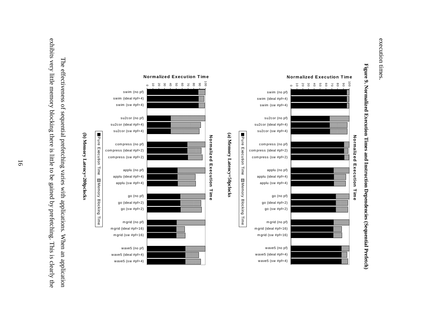





exhibits very little memory blocking there is little to be gained by prefetching. This is clearly the exhibits very little memory blocking there is little to be gained by prefetching. This is clearly the The effectiveness of sequential prefetching varies with applications. When an application The effectiveness of sequential prefetching varies with applications. When an application

**(b) Memory Latency=200pclocks**

(b) Memory Latency=200pclocks

Pure Execution Time

Pure Execution Time

Memory Blocking Time

Memory Blocking Time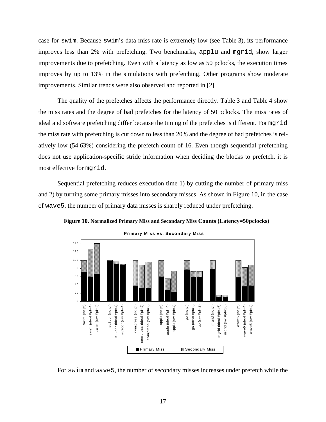case for swim. Because swim's data miss rate is extremely low (see Table 3), its performance improves less than 2% with prefetching. Two benchmarks, applu and mgrid, show larger improvements due to prefetching. Even with a latency as low as 50 pclocks, the execution times improves by up to 13% in the simulations with prefetching. Other programs show moderate improvements. Similar trends were also observed and reported in [2].

The quality of the prefetches affects the performance directly. Table 3 and Table 4 show the miss rates and the degree of bad prefetches for the latency of 50 pclocks. The miss rates of ideal and software prefetching differ because the timing of the prefetches is different. For mgrid the miss rate with prefetching is cut down to less than 20% and the degree of bad prefetches is relatively low (54.63%) considering the prefetch count of 16. Even though sequential prefetching does not use application-specific stride information when deciding the blocks to prefetch, it is most effective for mgrid.

Sequential prefetching reduces execution time 1) by cutting the number of primary miss and 2) by turning some primary misses into secondary misses. As shown in Figure 10, in the case of wave5, the number of primary data misses is sharply reduced under prefetching.





**Primary M iss vs. Secondary M iss**

For swim and wave5, the number of secondary misses increases under prefetch while the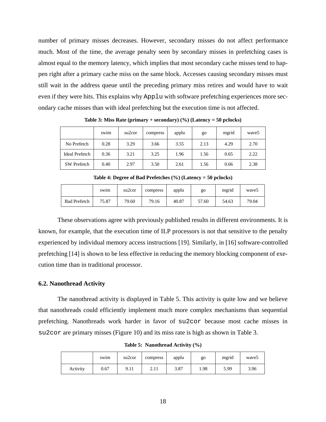number of primary misses decreases. However, secondary misses do not affect performance much. Most of the time, the average penalty seen by secondary misses in prefetching cases is almost equal to the memory latency, which implies that most secondary cache misses tend to happen right after a primary cache miss on the same block. Accesses causing secondary misses must still wait in the address queue until the preceding primary miss retires and would have to wait even if they were hits. This explains why Applu with software prefetching experiences more secondary cache misses than with ideal prefetching but the execution time is not affected.

|                       | swim | su <sub>2</sub> cor | compress | applu | go   | mgrid | wave <sub>5</sub> |
|-----------------------|------|---------------------|----------|-------|------|-------|-------------------|
| No Prefetch           | 0.28 | 3.29                | 3.66     | 3.55  | 2.13 | 4.29  | 2.70              |
| <b>Ideal Prefetch</b> | 0.36 | 3.21                | 3.25     | 1.96  | 1.56 | 0.65  | 2.22              |
| <b>SW</b> Prefetch    | 0.40 | 2.97                | 3.50     | 2.61  | 1.56 | 0.66  | 2.38              |

**Table 3: Miss Rate (primary + secondary) (%) (Latency = 50 pclocks)**

**Table 4: Degree of Bad Prefetches (%) (Latency = 50 pclocks)**

|                     | swim  | su <sub>2</sub> cor | compress | applu | go    | mgrid | wave <sub>5</sub> |
|---------------------|-------|---------------------|----------|-------|-------|-------|-------------------|
| <b>Bad Prefetch</b> | 75.87 | 79.60               | 79.16    | 40.87 | 57.60 | 54.63 | 79.04             |

These observations agree with previously published results in different environments. It is known, for example, that the execution time of ILP processors is not that sensitive to the penalty experienced by individual memory access instructions [19]. Similarly, in [16] software-controlled prefetching [14] is shown to be less effective in reducing the memory blocking component of execution time than in traditional processor.

#### **6.2. Nanothread Activity**

The nanothread activity is displayed in Table 5. This activity is quite low and we believe that nanothreads could efficiently implement much more complex mechanisms than sequential prefetching. Nanothreads work harder in favor of su2cor because most cache misses in su2cor are primary misses (Figure 10) and its miss rate is high as shown in Table 3.

|          | swim | su <sub>2</sub> cor | compress | applu | go   | mgrid | wave <sub>5</sub> |
|----------|------|---------------------|----------|-------|------|-------|-------------------|
| Activity | 0.67 | 9.11                | 2.11     | 3.87  | 1.98 | 5.99  | 3.96              |

**Table 5: Nanothread Activity (%)**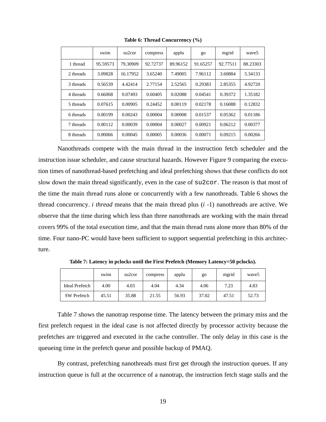|           | swim     | su <sub>2</sub> cor | compress | applu    | $g_{O}$  | mgrid    | wave <sub>5</sub> |
|-----------|----------|---------------------|----------|----------|----------|----------|-------------------|
| 1 thread  | 95.59573 | 79.30909            | 92.72737 | 89.96152 | 91.65257 | 92.77511 | 88.23303          |
| 2 threads | 3.09828  | 16.17952            | 3.65240  | 7.49005  | 7.96112  | 3.60884  | 5.34133           |
| 3 threads | 0.56539  | 4.42414             | 2.77154  | 2.52565  | 0.29383  | 2.85355  | 4.92720           |
| 4 threads | 0.66068  | 0.07493             | 0.60405  | 0.02088  | 0.04541  | 0.39372  | 1.35182           |
| 5 threads | 0.07615  | 0.00905             | 0.24452  | 0.00119  | 0.02178  | 0.16088  | 0.12832           |
| 6 threads | 0.00199  | 0.00243             | 0.00004  | 0.00008  | 0.01537  | 0.05362  | 0.01186           |
| 7 threads | 0.00112  | 0.00039             | 0.00004  | 0.00027  | 0.00921  | 0.06212  | 0.00377           |
| 8 threads | 0.00066  | 0.00045             | 0.00005  | 0.00036  | 0.00071  | 0.09215  | 0.00266           |

**Table 6: Thread Concurrency (%)**

Nanothreads compete with the main thread in the instruction fetch scheduler and the instruction issue scheduler, and cause structural hazards. However Figure 9 comparing the execution times of nanothread-based prefetching and ideal prefetching shows that these conflicts do not slow down the main thread significantly, even in the case of su2cor. The reason is that most of the time the main thread runs alone or concurrently with a few nanothreads. Table 6 shows the thread concurrency. *i thread* means that the main thread plus (*i* -1) nanothreads are active. We observe that the time during which less than three nanothreads are working with the main thread covers 99% of the total execution time, and that the main thread runs alone more than 80% of the time. Four nano-PC would have been sufficient to support sequential prefetching in this architecture.

|                | swim  | su <sub>2</sub> cor | compress | applu | go    | mgrid | wave5 |
|----------------|-------|---------------------|----------|-------|-------|-------|-------|
| Ideal Prefetch | 4.00  | 4.03                | 4.04     | 4.34  | 4.06  | 7.23  | 4.83  |
| SW Prefetch    | 45.51 | 35.88               | 21.55    | 56.93 | 37.02 | 47.51 | 52.73 |

**Table 7: Latency in pclocks until the First Prefetch (Memory Latency=50 pclocks).**

Table 7 shows the nanotrap response time. The latency between the primary miss and the first prefetch request in the ideal case is not affected directly by processor activity because the prefetches are triggered and executed in the cache controller. The only delay in this case is the queueing time in the prefetch queue and possible backup of PMAQ.

By contrast, prefetching nanothreads must first get through the instruction queues. If any instruction queue is full at the occurrence of a nanotrap, the instruction fetch stage stalls and the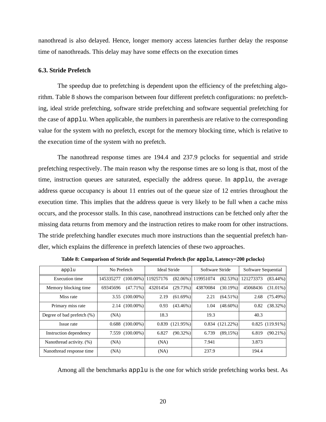nanothread is also delayed. Hence, longer memory access latencies further delay the response time of nanothreads. This delay may have some effects on the execution times

# **6.3. Stride Prefetch**

The speedup due to prefetching is dependent upon the efficiency of the prefetching algorithm. Table 8 shows the comparison between four different prefetch configurations: no prefetching, ideal stride prefetching, software stride prefetching and software sequential prefetching for the case of applu. When applicable, the numbers in parenthesis are relative to the corresponding value for the system with no prefetch, except for the memory blocking time, which is relative to the execution time of the system with no prefetch.

The nanothread response times are 194.4 and 237.9 pclocks for sequential and stride prefetching respectively. The main reason why the response times are so long is that, most of the time, instruction queues are saturated, especially the address queue. In applu, the average address queue occupancy is about 11 entries out of the queue size of 12 entries throughout the execution time. This implies that the address queue is very likely to be full when a cache miss occurs, and the processor stalls. In this case, nanothread instructions can be fetched only after the missing data returns from memory and the instruction retires to make room for other instructions. The stride prefetching handler executes much more instructions than the sequential prefetch handler, which explains the difference in prefetch latencies of these two approaches.

| applu                      | No Prefetch                   | <b>Ideal Stride</b>  | Software Stride                   | Software Sequential      |
|----------------------------|-------------------------------|----------------------|-----------------------------------|--------------------------|
| <b>Execution</b> time      | 145335277 (100.00%) 119257176 |                      | $(82.06\%)$ 119951074<br>(82.53%) | 121273373<br>$(83.44\%)$ |
| Memory blocking time       | $(47.71\%)$<br>69345696       | 43201454<br>(29.73%) | 43870084<br>(30.19%)              | 45068436<br>$(31.01\%)$  |
| Miss rate                  | $3.55(100.00\%)$              | 2.19<br>$(61.69\%)$  | 2.21<br>$(64.51\%)$               | (75.49%)<br>2.68         |
| Primary miss rate          | $2.14(100.00\%)$              | 0.93<br>$(43.46\%)$  | 1.04<br>$(48.60\%)$               | $(38.32\%)$<br>0.82      |
| Degree of bad prefetch (%) | (NA)                          | 18.3                 | 19.3                              | 40.3                     |
| Issue rate                 | $0.688$ (100.00%)             | $0.839$ (121.95%)    | $0.834(121.22\%)$                 | $0.825(119.91\%)$        |
| Instruction dependency     | 7.559 (100.00%)               | 6.827<br>$(90.32\%)$ | 6.739<br>(89,15%)                 | 6.819<br>$(90.21\%)$     |
| Nanothread activity. (%)   | (NA)                          | (NA)                 | 7.941                             | 3.873                    |
| Nanothread response time   | (NA)                          | (NA)                 | 237.9                             | 194.4                    |

**Table 8: Comparison of Stride and Sequential Prefetch (for applu, Latency=200 pclocks)**

Among all the benchmarks applu is the one for which stride prefetching works best. As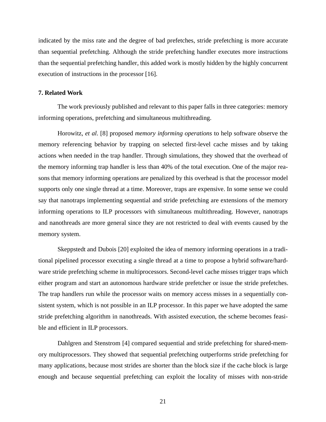indicated by the miss rate and the degree of bad prefetches, stride prefetching is more accurate than sequential prefetching. Although the stride prefetching handler executes more instructions than the sequential prefetching handler, this added work is mostly hidden by the highly concurrent execution of instructions in the processor [16].

# **7. Related Work**

The work previously published and relevant to this paper falls in three categories: memory informing operations, prefetching and simultaneous multithreading.

Horowitz, *et al*. [8] proposed *memory informing operations* to help software observe the memory referencing behavior by trapping on selected first-level cache misses and by taking actions when needed in the trap handler. Through simulations, they showed that the overhead of the memory informing trap handler is less than 40% of the total execution. One of the major reasons that memory informing operations are penalized by this overhead is that the processor model supports only one single thread at a time. Moreover, traps are expensive. In some sense we could say that nanotraps implementing sequential and stride prefetching are extensions of the memory informing operations to ILP processors with simultaneous multithreading. However, nanotraps and nanothreads are more general since they are not restricted to deal with events caused by the memory system.

Skeppstedt and Dubois [20] exploited the idea of memory informing operations in a traditional pipelined processor executing a single thread at a time to propose a hybrid software/hardware stride prefetching scheme in multiprocessors. Second-level cache misses trigger traps which either program and start an autonomous hardware stride prefetcher or issue the stride prefetches. The trap handlers run while the processor waits on memory access misses in a sequentially consistent system, which is not possible in an ILP processor. In this paper we have adopted the same stride prefetching algorithm in nanothreads. With assisted execution, the scheme becomes feasible and efficient in ILP processors.

Dahlgren and Stenstrom [4] compared sequential and stride prefetching for shared-memory multiprocessors. They showed that sequential prefetching outperforms stride prefetching for many applications, because most strides are shorter than the block size if the cache block is large enough and because sequential prefetching can exploit the locality of misses with non-stride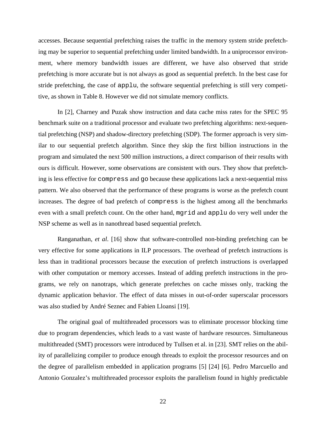accesses. Because sequential prefetching raises the traffic in the memory system stride prefetching may be superior to sequential prefetching under limited bandwidth. In a uniprocessor environment, where memory bandwidth issues are different, we have also observed that stride prefetching is more accurate but is not always as good as sequential prefetch. In the best case for stride prefetching, the case of applu, the software sequential prefetching is still very competitive, as shown in Table 8. However we did not simulate memory conflicts.

In [2], Charney and Puzak show instruction and data cache miss rates for the SPEC 95 benchmark suite on a traditional processor and evaluate two prefetching algorithms: next-sequential prefetching (NSP) and shadow-directory prefetching (SDP). The former approach is very similar to our sequential prefetch algorithm. Since they skip the first billion instructions in the program and simulated the next 500 million instructions, a direct comparison of their results with ours is difficult. However, some observations are consistent with ours. They show that prefetching is less effective for compress and go because these applications lack a next-sequential miss pattern. We also observed that the performance of these programs is worse as the prefetch count increases. The degree of bad prefetch of compress is the highest among all the benchmarks even with a small prefetch count. On the other hand, mgrid and applu do very well under the NSP scheme as well as in nanothread based sequential prefetch.

Ranganathan, *et al*. [16] show that software-controlled non-binding prefetching can be very effective for some applications in ILP processors. The overhead of prefetch instructions is less than in traditional processors because the execution of prefetch instructions is overlapped with other computation or memory accesses. Instead of adding prefetch instructions in the programs, we rely on nanotraps, which generate prefetches on cache misses only, tracking the dynamic application behavior. The effect of data misses in out-of-order superscalar processors was also studied by André Seznec and Fabien Lloansi [19].

The original goal of multithreaded processors was to eliminate processor blocking time due to program dependencies, which leads to a vast waste of hardware resources. Simultaneous multithreaded (SMT) processors were introduced by Tullsen et al. in [23]. SMT relies on the ability of parallelizing compiler to produce enough threads to exploit the processor resources and on the degree of parallelism embedded in application programs [5] [24] [6]. Pedro Marcuello and Antonio Gonzalez's multithreaded processor exploits the parallelism found in highly predictable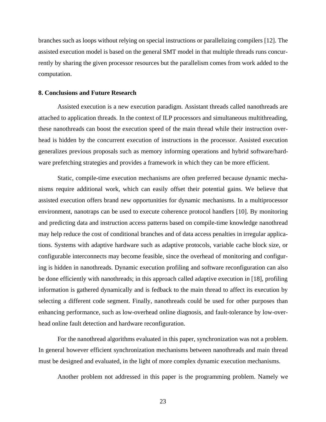branches such as loops without relying on special instructions or parallelizing compilers [12]. The assisted execution model is based on the general SMT model in that multiple threads runs concurrently by sharing the given processor resources but the parallelism comes from work added to the computation.

# **8. Conclusions and Future Research**

Assisted execution is a new execution paradigm. Assistant threads called nanothreads are attached to application threads. In the context of ILP processors and simultaneous multithreading, these nanothreads can boost the execution speed of the main thread while their instruction overhead is hidden by the concurrent execution of instructions in the processor. Assisted execution generalizes previous proposals such as memory informing operations and hybrid software/hardware prefetching strategies and provides a framework in which they can be more efficient.

Static, compile-time execution mechanisms are often preferred because dynamic mechanisms require additional work, which can easily offset their potential gains. We believe that assisted execution offers brand new opportunities for dynamic mechanisms. In a multiprocessor environment, nanotraps can be used to execute coherence protocol handlers [10]. By monitoring and predicting data and instruction access patterns based on compile-time knowledge nanothread may help reduce the cost of conditional branches and of data access penalties in irregular applications. Systems with adaptive hardware such as adaptive protocols, variable cache block size, or configurable interconnects may become feasible, since the overhead of monitoring and configuring is hidden in nanothreads. Dynamic execution profiling and software reconfiguration can also be done efficiently with nanothreads; in this approach called adaptive execution in [18], profiling information is gathered dynamically and is fedback to the main thread to affect its execution by selecting a different code segment. Finally, nanothreads could be used for other purposes than enhancing performance, such as low-overhead online diagnosis, and fault-tolerance by low-overhead online fault detection and hardware reconfiguration.

For the nanothread algorithms evaluated in this paper, synchronization was not a problem. In general however efficient synchronization mechanisms between nanothreads and main thread must be designed and evaluated, in the light of more complex dynamic execution mechanisms.

Another problem not addressed in this paper is the programming problem. Namely we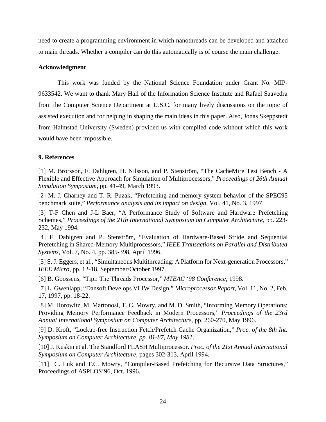need to create a programming environment in which nanothreads can be developed and attached to main threads. Whether a compiler can do this automatically is of course the main challenge.

# **Acknowledgment**

This work was funded by the National Science Foundation under Grant No. MIP-9633542. We want to thank Mary Hall of the Information Science Institute and Rafael Saavedra from the Computer Science Department at U.S.C. for many lively discussions on the topic of assisted execution and for helping in shaping the main ideas in this paper. Also, Jonas Skeppstedt from Halmstad University (Sweden) provided us with compiled code without which this work would have been impossible.

# **9. References**

[1] M. Brorsson, F. Dahlgren, H. Nilsson, and P. Stenström, "The CacheMire Test Bench - A Flexible and Effective Approach for Simulation of Multiprocessors," *Proceedings of 26th Annual Simulation Symposium*, pp. 41-49, March 1993.

[2] M. J. Charney and T. R. Puzak, "Prefetching and memory system behavior of the SPEC95 benchmark suite," *Performance analysis and its impact on design*, Vol. 41, No. 3, 1997

[3] T-F Chen and J-L Baer, "A Performance Study of Software and Hardware Prefetching Schemes," *Proceedings of the 21th International Symposium on Computer Architecture*, pp. 223- 232, May 1994.

[4] F. Dahlgren and P. Stenström, "Evaluation of Hardware-Based Stride and Sequential Prefetching in Shared-Memory Multiprocessors," *IEEE Transactions on Parallel and Distributed Systems*, Vol. 7, No. 4, pp. 385-398, April 1996.

[5] S. J. Eggers, et al., "Simultaneous Multithreading: A Platform for Next-generation Processors," *IEEE Micro*, pp. 12-18, September/October 1997.

[6] B. Goossens, "Tipi: The Threads Processor," *MTEAC '98 Conference*, 1998.

[7] L. Gwenlapp, "Dansoft Develops VLIW Design," *Microprocessor Report*, Vol. 11, No. 2, Feb. 17, 1997, pp. 18-22.

[8] M. Horowitz, M. Martonosi, T. C. Mowry, and M. D. Smith, "Informing Memory Operations: Providing Memory Performance Feedback in Modern Processors," *Proceedings of the 23rd Annual International Symposium on Computer Architecture*, pp. 260-270, May 1996.

[9] D. Kroft, "Lockup-free Instruction Fetch/Prefetch Cache Organization," *Proc. of the 8th Int. Symposium on Computer Architecture, pp. 81-87, May 1981*.

[10] J. Kuskin et al. The Standford FLASH Multiprocessor. *Proc. of the 21st Annual International Symposium on Computer Architecture,* pages 302-313, April 1994.

[11] C. Luk and T.C. Mowry, "Compiler-Based Prefetching for Recursive Data Structures," Proceedings of ASPLOS'96, Oct. 1996.